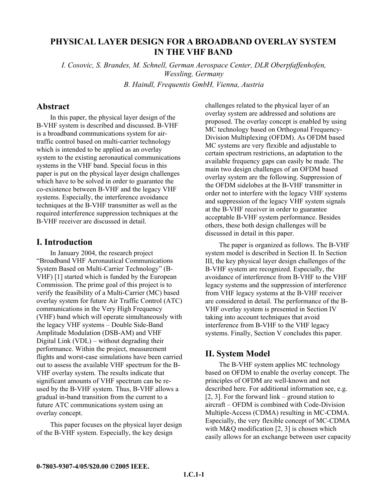# **PHYSICAL LAYER DESIGN FOR A BROADBAND OVERLAY SYSTEM IN THE VHF BAND**

*I. Cosovic, S. Brandes, M. Schnell, German Aerospace Center, DLR Oberpfaffenhofen, Wessling, Germany B. Haindl, Frequentis GmbH, Vienna, Austria* 

### **Abstract**

In this paper, the physical layer design of the B-VHF system is described and discussed. B-VHF is a broadband communications system for airtraffic control based on multi-carrier technology which is intended to be applied as an overlay system to the existing aeronautical communications systems in the VHF band. Special focus in this paper is put on the physical layer design challenges which have to be solved in order to guarantee the co-existence between B-VHF and the legacy VHF systems. Especially, the interference avoidance techniques at the B-VHF transmitter as well as the required interference suppression techniques at the B-VHF receiver are discussed in detail.

### **I. Introduction**

In January 2004, the research project "Broadband VHF Aeronautical Communications System Based on Multi-Carrier Technology" (B-VHF) [1] started which is funded by the European Commission. The prime goal of this project is to verify the feasibility of a Multi-Carrier (MC) based overlay system for future Air Traffic Control (ATC) communications in the Very High Frequency (VHF) band which will operate simultaneously with the legacy VHF systems – Double Side-Band Amplitude Modulation (DSB-AM) and VHF Digital Link (VDL) – without degrading their performance. Within the project, measurement flights and worst-case simulations have been carried out to assess the available VHF spectrum for the B-VHF overlay system. The results indicate that significant amounts of VHF spectrum can be reused by the B-VHF system. Thus, B-VHF allows a gradual in-band transition from the current to a future ATC communications system using an overlay concept.

This paper focuses on the physical layer design of the B-VHF system. Especially, the key design

challenges related to the physical layer of an overlay system are addressed and solutions are proposed. The overlay concept is enabled by using MC technology based on Orthogonal Frequency-Division Multiplexing (OFDM). As OFDM based MC systems are very flexible and adjustable to certain spectrum restrictions, an adaptation to the available frequency gaps can easily be made. The main two design challenges of an OFDM based overlay system are the following. Suppression of the OFDM sidelobes at the B-VHF transmitter in order not to interfere with the legacy VHF systems and suppression of the legacy VHF system signals at the B-VHF receiver in order to guarantee acceptable B-VHF system performance. Besides others, these both design challenges will be discussed in detail in this paper.

The paper is organized as follows. The B-VHF system model is described in Section II. In Section III, the key physical layer design challenges of the B-VHF system are recognized. Especially, the avoidance of interference from B-VHF to the VHF legacy systems and the suppression of interference from VHF legacy systems at the B-VHF receiver are considered in detail. The performance of the B-VHF overlay system is presented in Section IV taking into account techniques that avoid interference from B-VHF to the VHF legacy systems. Finally, Section V concludes this paper.

# **II. System Model**

The B-VHF system applies MC technology based on OFDM to enable the overlay concept. The principles of OFDM are well-known and not described here. For additional information see, e.g. [2, 3]. For the forward link – ground station to aircraft – OFDM is combined with Code-Division Multiple-Access (CDMA) resulting in MC-CDMA. Especially, the very flexible concept of MC-CDMA with M&O modification [2, 3] is chosen which easily allows for an exchange between user capacity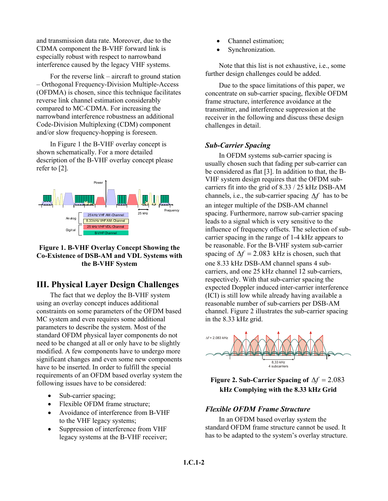and transmission data rate. Moreover, due to the CDMA component the B-VHF forward link is especially robust with respect to narrowband interference caused by the legacy VHF systems.

For the reverse link – aircraft to ground station – Orthogonal Frequency-Division Multiple-Access (OFDMA) is chosen, since this technique facilitates reverse link channel estimation considerably compared to MC-CDMA. For increasing the narrowband interference robustness an additional Code-Division Multiplexing (CDM) component and/or slow frequency-hopping is foreseen.

In [Figure 1](#page-1-0) the B-VHF overlay concept is shown schematically. For a more detailed description of the B-VHF overlay concept please refer to [2].

<span id="page-1-0"></span>

### **Figure 1. B-VHF Overlay Concept Showing the Co-Existence of DSB-AM and VDL Systems with the B-VHF System**

# **III. Physical Layer Design Challenges**

The fact that we deploy the B-VHF system using an overlay concept induces additional constraints on some parameters of the OFDM based MC system and even requires some additional parameters to describe the system. Most of the standard OFDM physical layer components do not need to be changed at all or only have to be slightly modified. A few components have to undergo more significant changes and even some new components have to be inserted. In order to fulfill the special requirements of an OFDM based overlay system the following issues have to be considered:

- Sub-carrier spacing;
- Flexible OFDM frame structure;
- Avoidance of interference from B-VHF to the VHF legacy systems;
- Suppression of interference from VHF legacy systems at the B-VHF receiver;
- Channel estimation;
- Synchronization.

Note that this list is not exhaustive, i.e., some further design challenges could be added.

Due to the space limitations of this paper, we concentrate on sub-carrier spacing, flexible OFDM frame structure, interference avoidance at the transmitter, and interference suppression at the receiver in the following and discuss these design challenges in detail.

## *Sub-Carrier Spacing*

In OFDM systems sub-carrier spacing is usually chosen such that fading per sub-carrier can be considered as flat [3]. In addition to that, the B-VHF system design requires that the OFDM subcarriers fit into the grid of 8.33 / 25 kHz DSB-AM channels, i.e., the sub-carrier spacing ∆*f* has to be an integer multiple of the DSB-AM channel spacing. Furthermore, narrow sub-carrier spacing leads to a signal which is very sensitive to the influence of frequency offsets. The selection of subcarrier spacing in the range of 1-4 kHz appears to be reasonable. For the B-VHF system sub-carrier spacing of  $\Delta f = 2.083$  kHz is chosen, such that one 8.33 kHz DSB-AM channel spans 4 subcarriers, and one 25 kHz channel 12 sub-carriers, respectively. With that sub-carrier spacing the expected Doppler induced inter-carrier interference (ICI) is still low while already having available a reasonable number of sub-carriers per DSB-AM channel. [Figure 2](#page-1-1) illustrates the sub-carrier spacing in the 8.33 kHz grid.

<span id="page-1-1"></span>

**Figure 2. Sub-Carrier Spacing of**  $\Delta f = 2.083$ **kHz Complying with the 8.33 kHz Grid** 

### *Flexible OFDM Frame Structure*

In an OFDM based overlay system the standard OFDM frame structure cannot be used. It has to be adapted to the system's overlay structure.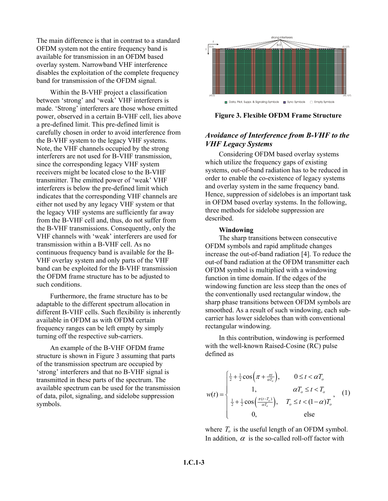The main difference is that in contrast to a standard OFDM system not the entire frequency band is available for transmission in an OFDM based overlay system. Narrowband VHF interference disables the exploitation of the complete frequency band for transmission of the OFDM signal.

Within the B-VHF project a classification between 'strong' and 'weak' VHF interferers is made. 'Strong' interferers are those whose emitted power, observed in a certain B-VHF cell, lies above a pre-defined limit. This pre-defined limit is carefully chosen in order to avoid interference from the B-VHF system to the legacy VHF systems. Note, the VHF channels occupied by the strong interferers are not used for B-VHF transmission, since the corresponding legacy VHF system receivers might be located close to the B-VHF transmitter. The emitted power of 'weak' VHF interferers is below the pre-defined limit which indicates that the corresponding VHF channels are either not used by any legacy VHF system or that the legacy VHF systems are sufficiently far away from the B-VHF cell and, thus, do not suffer from the B-VHF transmissions. Consequently, only the VHF channels with 'weak' interferers are used for transmission within a B-VHF cell. As no continuous frequency band is available for the B-VHF overlay system and only parts of the VHF band can be exploited for the B-VHF transmission the OFDM frame structure has to be adjusted to such conditions.

Furthermore, the frame structure has to be adaptable to the different spectrum allocation in different B-VHF cells. Such flexibility is inherently available in OFDM as with OFDM certain frequency ranges can be left empty by simply turning off the respective sub-carriers.

An example of the B-VHF OFDM frame structure is shown in [Figure 3](#page-2-0) assuming that parts of the transmission spectrum are occupied by 'strong' interferers and that no B-VHF signal is transmitted in these parts of the spectrum. The available spectrum can be used for the transmission of data, pilot, signaling, and sidelobe suppression symbols.

<span id="page-2-0"></span>

**Figure 3. Flexible OFDM Frame Structure** 

## *Avoidance of Interference from B-VHF to the VHF Legacy Systems*

Considering OFDM based overlay systems which utilize the frequency gaps of existing systems, out-of-band radiation has to be reduced in order to enable the co-existence of legacy systems and overlay system in the same frequency band. Hence, suppression of sidelobes is an important task in OFDM based overlay systems. In the following, three methods for sidelobe suppression are described.

#### **Windowing**

The sharp transitions between consecutive OFDM symbols and rapid amplitude changes increase the out-of-band radiation [4]. To reduce the out-of band radiation at the OFDM transmitter each OFDM symbol is multiplied with a windowing function in time domain. If the edges of the windowing function are less steep than the ones of the conventionally used rectangular window, the sharp phase transitions between OFDM symbols are smoothed. As a result of such windowing, each subcarrier has lower sidelobes than with conventional rectangular windowing.

In this contribution, windowing is performed with the well-known Raised-Cosine (RC) pulse defined as

$$
w(t) = \begin{cases} \frac{1}{2} + \frac{1}{2}\cos\left(\pi + \frac{\pi t}{\alpha T_o}\right), & 0 \le t < \alpha T_o\\ 1, & \alpha T_o \le t < T_o\\ \frac{1}{2} + \frac{1}{2}\cos\left(\frac{\pi (t - T_o)}{\alpha T_o}\right), & T_o \le t < (1 - \alpha)T_o\\ 0, & \text{else} \end{cases}
$$
 (1)

where  $T_o$  is the useful length of an OFDM symbol. In addition,  $\alpha$  is the so-called roll-off factor with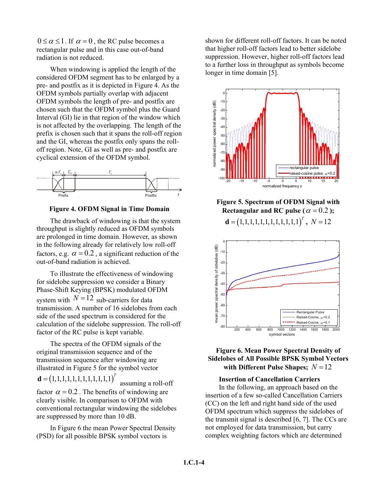$0 \le \alpha \le 1$ . If  $\alpha = 0$ , the RC pulse becomes a rectangular pulse and in this case out-of-band radiation is not reduced.

When windowing is applied the length of the considered OFDM segment has to be enlarged by a pre- and postfix as it is depicted in [Figure 4.](#page-3-0) As the OFDM symbols partially overlap with adjacent OFDM symbols the length of pre- and postfix are chosen such that the OFDM symbol plus the Guard Interval (GI) lie in that region of the window which is not affected by the overlapping. The length of the prefix is chosen such that it spans the roll-off region and the GI, whereas the postfix only spans the rolloff region. Note, GI as well as pre- and postfix are cyclical extension of the OFDM symbol.

<span id="page-3-0"></span>

**Figure 4. OFDM Signal in Time Domain** 

The drawback of windowing is that the system throughput is slightly reduced as OFDM symbols are prolonged in time domain. However, as shown in the following already for relatively low roll-off factors, e.g.  $\alpha = 0.2$ , a significant reduction of the out-of-band radiation is achieved.

To illustrate the effectiveness of windowing for sidelobe suppression we consider a Binary Phase-Shift Keying (BPSK) modulated OFDM system with  $N = 12$  sub-carriers for data transmission. A number of 16 sidelobes from each side of the used spectrum is considered for the calculation of the sidelobe suppression. The roll-off factor of the RC pulse is kept variable.

The spectra of the OFDM signals of the original transmission sequence and of the transmission sequence after windowing are illustrated in [Figure 5](#page-3-1) for the symbol vector

 $$ 

 assuming a roll-off factor  $\alpha = 0.2$ . The benefits of windowing are clearly visible. In comparison to OFDM with conventional rectangular windowing the sidelobes are suppressed by more than 10 dB.

In [Figure 6](#page-3-2) the mean Power Spectral Density (PSD) for all possible BPSK symbol vectors is

shown for different roll-off factors. It can be noted that higher roll-off factors lead to better sidelobe suppression. However, higher roll-off factors lead to a further loss in throughput as symbols become longer in time domain [5].

<span id="page-3-1"></span>

**Figure 5. Spectrum of OFDM Signal with Rectangular and RC pulse (** $\alpha = 0.2$  **);** 



<span id="page-3-2"></span>

### **Figure 6. Mean Power Spectral Density of Sidelobes of All Possible BPSK Symbol Vectors with Different Pulse Shapes;** *N* =12

#### **Insertion of Cancellation Carriers**

In the following, an approach based on the insertion of a few so-called Cancellation Carriers (CC) on the left and right hand side of the used OFDM spectrum which suppress the sidelobes of the transmit signal is described [6, 7]. The CCs are not employed for data transmission, but carry complex weighting factors which are determined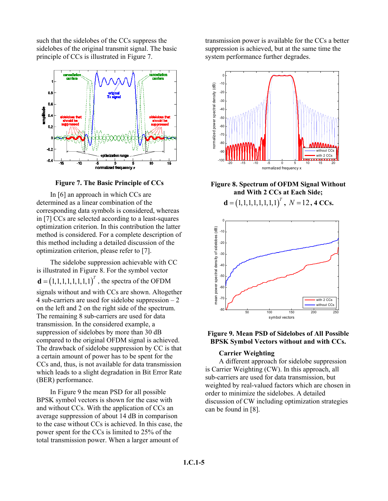such that the sidelobes of the CCs suppress the sidelobes of the original transmit signal. The basic principle of CCs is illustrated in Figure 7.



**Figure 7. The Basic Principle of CCs** 

In [6] an approach in which CCs are determined as a linear combination of the corresponding data symbols is considered, whereas in [7] CCs are selected according to a least-squares optimization criterion. In this contribution the latter method is considered. For a complete description of this method including a detailed discussion of the optimization criterion, please refer to [7].

The sidelobe suppression achievable with CC is illustrated in [Figure 8.](#page-4-0) For the symbol vector  $\mathbf{d} = (1,1,1,1,1,1,1,1)^T$ , the spectra of the OFDM signals without and with CCs are shown. Altogether 4 sub-carriers are used for sidelobe suppression – 2 on the left and 2 on the right side of the spectrum. The remaining 8 sub-carriers are used for data transmission. In the considered example, a suppression of sidelobes by more than 30 dB compared to the original OFDM signal is achieved. The drawback of sidelobe suppression by CC is that a certain amount of power has to be spent for the CCs and, thus, is not available for data transmission

In [Figure 9](#page-4-1) the mean PSD for all possible BPSK symbol vectors is shown for the case with and without CCs. With the application of CCs an average suppression of about 14 dB in comparison to the case without CCs is achieved. In this case, the power spent for the CCs is limited to 25% of the total transmission power. When a larger amount of

which leads to a slight degradation in Bit Error Rate

(BER) performance.

transmission power is available for the CCs a better suppression is achieved, but at the same time the system performance further degrades.

<span id="page-4-0"></span>

**Figure 8. Spectrum of OFDM Signal Without and With 2 CCs at Each Side;** 

**,**  $N = 12$ **, 4 CCs.** 

<span id="page-4-1"></span>

**Figure 9. Mean PSD of Sidelobes of All Possible BPSK Symbol Vectors without and with CCs.** 

#### **Carrier Weighting**

A different approach for sidelobe suppression is Carrier Weighting (CW). In this approach, all sub-carriers are used for data transmission, but weighted by real-valued factors which are chosen in order to minimize the sidelobes. A detailed discussion of CW including optimization strategies can be found in [8].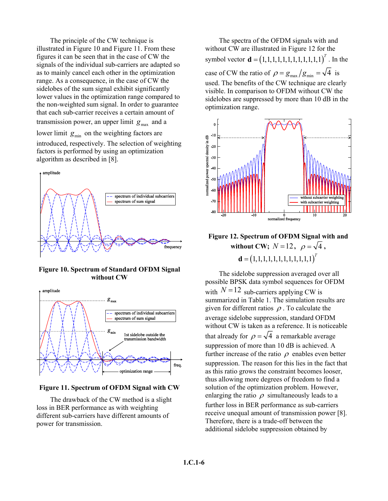The principle of the CW technique is illustrated in [Figure 10](#page-5-0) and [Figure 11.](#page-5-1) From these figures it can be seen that in the case of CW the signals of the individual sub-carriers are adapted so as to mainly cancel each other in the optimization range. As a consequence, in the case of CW the sidelobes of the sum signal exhibit significantly lower values in the optimization range compared to the non-weighted sum signal. In order to guarantee that each sub-carrier receives a certain amount of transmission power, an upper limit  $g_{\text{max}}$  and a

lower limit  $g_{\text{min}}$  on the weighting factors are

introduced, respectively. The selection of weighting factors is performed by using an optimization algorithm as described in [8].

<span id="page-5-0"></span>

**Figure 10. Spectrum of Standard OFDM Signal without CW**

<span id="page-5-1"></span>

#### **Figure 11. Spectrum of OFDM Signal with CW**

The drawback of the CW method is a slight loss in BER performance as with weighting different sub-carriers have different amounts of power for transmission.

The spectra of the OFDM signals with and without CW are illustrated in [Figure 12](#page-5-2) for the symbol vector  $\mathbf{d} = (1, 1, 1, 1, 1, 1, 1, 1, 1, 1, 1)^T$ . In the case of CW the ratio of  $\rho = g_{\text{max}}/g_{\text{min}} = \sqrt{4}$  is used. The benefits of the CW technique are clearly visible. In comparison to OFDM without CW the sidelobes are suppressed by more than 10 dB in the optimization range.



<span id="page-5-2"></span>**Figure 12. Spectrum of OFDM Signal with and**  without CW;  $N=12$ ,  $\rho = \sqrt{4}$ ,  $\mathbf{d} = (1,1,1,1,1,1,1,1,1,1,1,1)^T$ 

The sidelobe suppression averaged over all possible BPSK data symbol sequences for OFDM with  $N = 12$  sub-carriers applying CW is summarized in Table 1. The simulation results are given for different ratios  $\rho$ . To calculate the average sidelobe suppression, standard OFDM without CW is taken as a reference. It is noticeable that already for  $\rho = \sqrt{4}$  a remarkable average suppression of more than 10 dB is achieved. A further increase of the ratio  $\rho$  enables even better suppression. The reason for this lies in the fact that as this ratio grows the constraint becomes looser, thus allowing more degrees of freedom to find a solution of the optimization problem. However, enlarging the ratio  $\rho$  simultaneously leads to a further loss in BER performance as sub-carriers receive unequal amount of transmission power [8]. Therefore, there is a trade-off between the additional sidelobe suppression obtained by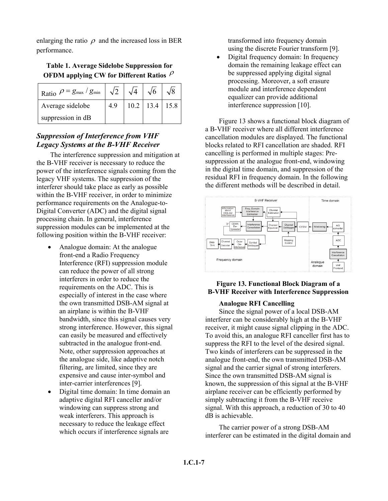enlarging the ratio  $\rho$  and the increased loss in BER performance.

# **Table 1. Average Sidelobe Suppression for OFDM applying CW for Different Ratios**  $\rho$

| Ratio $\rho = g_{\text{max}}/g_{\text{min}} \left  \sqrt{2} \right $ |    | $\sqrt{6}$           |  |
|----------------------------------------------------------------------|----|----------------------|--|
| Average sidelobe                                                     | 49 | $10.2$   13.4   15.8 |  |
| suppression in dB                                                    |    |                      |  |

# *Suppression of Interference from VHF Legacy Systems at the B-VHF Receiver*

The interference suppression and mitigation at the B-VHF receiver is necessary to reduce the power of the interference signals coming from the legacy VHF systems. The suppression of the interferer should take place as early as possible within the B-VHF receiver, in order to minimize performance requirements on the Analogue-to-Digital Converter (ADC) and the digital signal processing chain. In general, interference suppression modules can be implemented at the following position within the B-VHF receiver:

- Analogue domain: At the analogue front-end a Radio Frequency Interference (RFI) suppression module can reduce the power of all strong interferers in order to reduce the requirements on the ADC. This is especially of interest in the case where the own transmitted DSB-AM signal at an airplane is within the B-VHF bandwidth, since this signal causes very strong interference. However, this signal can easily be measured and effectively subtracted in the analogue front-end. Note, other suppression approaches at the analogue side, like adaptive notch filtering, are limited, since they are expensive and cause inter-symbol and inter-carrier interferences [9].
- Digital time domain: In time domain an adaptive digital RFI canceller and/or windowing can suppress strong and weak interferers. This approach is necessary to reduce the leakage effect which occurs if interference signals are

transformed into frequency domain using the discrete Fourier transform [9].

• Digital frequency domain: In frequency domain the remaining leakage effect can be suppressed applying digital signal processing. Moreover, a soft erasure module and interference dependent equalizer can provide additional interference suppression [10].

[Figure 13](#page-6-0) shows a functional block diagram of a B-VHF receiver where all different interference cancellation modules are displayed. The functional blocks related to RFI cancellation are shaded. RFI cancelling is performed in multiple stages: Presuppression at the analogue front-end, windowing in the digital time domain, and suppression of the residual RFI in frequency domain. In the following the different methods will be described in detail.

<span id="page-6-0"></span>

### **Figure 13. Functional Block Diagram of a B-VHF Receiver with Interference Suppression**

### **Analogue RFI Cancelling**

Since the signal power of a local DSB-AM interferer can be considerably high at the B-VHF receiver, it might cause signal clipping in the ADC. To avoid this, an analogue RFI canceller first has to suppress the RFI to the level of the desired signal. Two kinds of interferers can be suppressed in the analogue front-end, the own transmitted DSB-AM signal and the carrier signal of strong interferers. Since the own transmitted DSB-AM signal is known, the suppression of this signal at the B-VHF airplane receiver can be efficiently performed by simply subtracting it from the B-VHF receive signal. With this approach, a reduction of 30 to 40 dB is achievable.

The carrier power of a strong DSB-AM interferer can be estimated in the digital domain and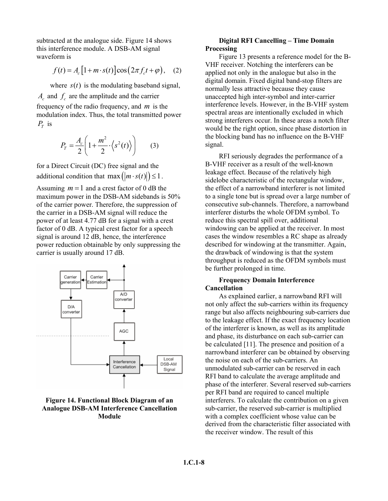subtracted at the analogue side. [Figure 14](#page-7-0) shows this interference module. A DSB-AM signal waveform is

$$
f(t) = A_c [1 + m \cdot s(t)] \cos(2\pi f_c t + \varphi), \quad (2)
$$

where  $s(t)$  is the modulating baseband signal,  $A_c$  and  $f_c$  are the amplitude and the carrier frequency of the radio frequency, and  $m$  is the modulation index. Thus, the total transmitted power  $P_T$  is

$$
P_T = \frac{A_c}{2} \left( 1 + \frac{m^2}{2} \cdot \left\langle s^2(t) \right\rangle \right) \tag{3}
$$

for a Direct Circuit (DC) free signal and the additional condition that  $\max(|m \cdot s(t)|) \leq 1$ .

Assuming  $m = 1$  and a crest factor of 0 dB the maximum power in the DSB-AM sidebands is 50% of the carrier power. Therefore, the suppression of the carrier in a DSB-AM signal will reduce the power of at least 4.77 dB for a signal with a crest factor of 0 dB. A typical crest factor for a speech signal is around 12 dB, hence, the interference power reduction obtainable by only suppressing the carrier is usually around 17 dB.

<span id="page-7-0"></span>

### **Figure 14. Functional Block Diagram of an Analogue DSB-AM Interference Cancellation Module**

#### **Digital RFI Cancelling – Time Domain Processing**

[Figure 13](#page-6-0) presents a reference model for the B-VHF receiver. Notching the interferers can be applied not only in the analogue but also in the digital domain. Fixed digital band-stop filters are normally less attractive because they cause unaccepted high inter-symbol and inter-carrier interference levels. However, in the B-VHF system spectral areas are intentionally excluded in which strong interferers occur. In these areas a notch filter would be the right option, since phase distortion in the blocking band has no influence on the B-VHF signal.

RFI seriously degrades the performance of a B-VHF receiver as a result of the well-known leakage effect. Because of the relatively high sidelobe characteristic of the rectangular window, the effect of a narrowband interferer is not limited to a single tone but is spread over a large number of consecutive sub-channels. Therefore, a narrowband interferer disturbs the whole OFDM symbol. To reduce this spectral spill over, additional windowing can be applied at the receiver. In most cases the window resembles a RC shape as already described for windowing at the transmitter. Again, the drawback of windowing is that the system throughput is reduced as the OFDM symbols must be further prolonged in time.

#### **Frequency Domain Interference Cancellation**

As explained earlier, a narrowband RFI will not only affect the sub-carriers within its frequency range but also affects neighbouring sub-carriers due to the leakage effect. If the exact frequency location of the interferer is known, as well as its amplitude and phase, its disturbance on each sub-carrier can be calculated [11]. The presence and position of a narrowband interferer can be obtained by observing the noise on each of the sub-carriers. An unmodulated sub-carrier can be reserved in each RFI band to calculate the average amplitude and phase of the interferer. Several reserved sub-carriers per RFI band are required to cancel multiple interferers. To calculate the contribution on a given sub-carrier, the reserved sub-carrier is multiplied with a complex coefficient whose value can be derived from the characteristic filter associated with the receiver window. The result of this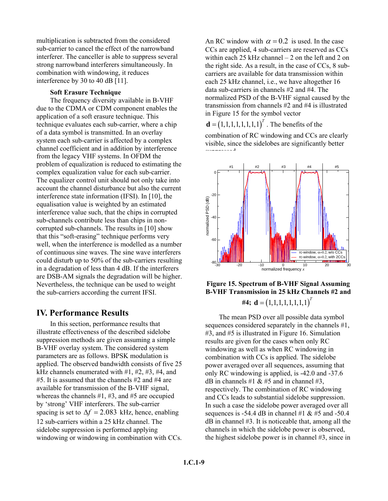multiplication is subtracted from the considered sub-carrier to cancel the effect of the narrowband interferer. The canceller is able to suppress several strong narrowband interferers simultaneously. In combination with windowing, it reduces interference by 30 to 40 dB [11].

#### **Soft Erasure Technique**

The frequency diversity available in B-VHF due to the CDMA or CDM component enables the application of a soft erasure technique. This technique evaluates each sub-carrier, where a chip of a data symbol is transmitted. In an overlay system each sub-carrier is affected by a complex channel coefficient and in addition by interference from the legacy VHF systems. In OFDM the problem of equalization is reduced to estimating the complex equalization value for each sub-carrier. The equalizer control unit should not only take into account the channel disturbance but also the current interference state information (IFSI). In [10], the equalisation value is weighted by an estimated interference value such, that the chips in corrupted sub-channels contribute less than chips in noncorrupted sub-channels. The results in [10] show that this "soft-erasing" technique performs very well, when the interference is modelled as a number of continuous sine waves. The sine wave interferers could disturb up to 50% of the sub-carriers resulting in a degradation of less than 4 dB. If the interferers are DSB-AM signals the degradation will be higher. Nevertheless, the technique can be used to weight the sub-carriers according the current IFSI.

# **IV. Performance Results**

In this section, performance results that illustrate effectiveness of the described sidelobe suppression methods are given assuming a simple B-VHF overlay system. The considered system parameters are as follows. BPSK modulation is applied. The observed bandwidth consists of five 25 kHz channels enumerated with  $#1, #2, #3, #4,$  and #5. It is assumed that the channels #2 and #4 are available for transmission of the B-VHF signal, whereas the channels #1, #3, and #5 are occupied by 'strong' VHF interferers. The sub-carrier spacing is set to  $\Delta f = 2.083$  kHz, hence, enabling 12 sub-carriers within a 25 kHz channel. The sidelobe suppression is performed applying windowing or windowing in combination with CCs.

An RC window with  $\alpha = 0.2$  is used. In the case CCs are applied, 4 sub-carriers are reserved as CCs within each 25 kHz channel – 2 on the left and 2 on the right side. As a result, in the case of CCs, 8 subcarriers are available for data transmission within each 25 kHz channel, i.e., we have altogether 16 data sub-carriers in channels #2 and #4. The normalized PSD of the B-VHF signal caused by the transmission from channels #2 and #4 is illustrated in [Figure 15](#page-8-0) for the symbol vector

**. The benefits of the** 

suppressed.

combination of RC windowing and CCs are clearly visible, since the sidelobes are significantly better

<span id="page-8-0"></span>

# **Figure 15. Spectrum of B-VHF Signal Assuming B-VHF Transmission in 25 kHz Channels #2 and**  #4;  $\mathbf{d} = (1, 1, 1, 1, 1, 1, 1, 1)^T$

The mean PSD over all possible data symbol sequences considered separately in the channels #1, #3, and #5 is illustrated in [Figure 16.](#page-9-0) Simulation results are given for the cases when only RC windowing as well as when RC windowing in combination with CCs is applied. The sidelobe power averaged over all sequences, assuming that only RC windowing is applied, is -42.0 and -37.6 dB in channels #1  $\&$  #5 and in channel #3, respectively. The combination of RC windowing and CCs leads to substantial sidelobe suppression. In such a case the sidelobe power averaged over all sequences is -54.4 dB in channel #1  $&$  #5 and -50.4 dB in channel #3. It is noticeable that, among all the channels in which the sidelobe power is observed, the highest sidelobe power is in channel #3, since in